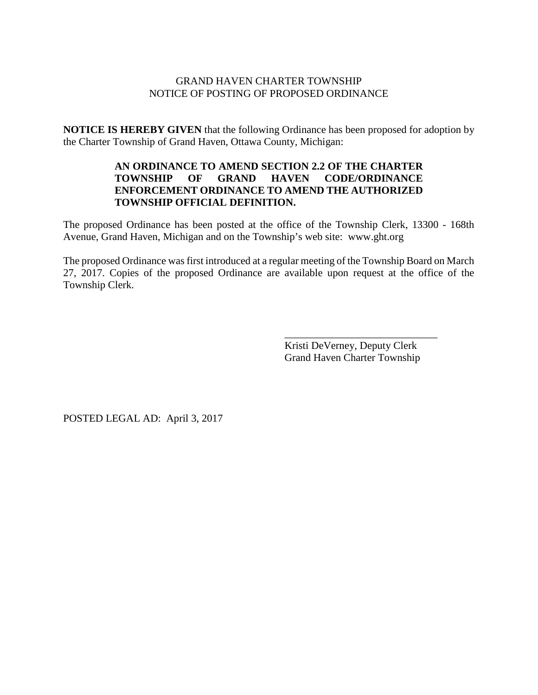## GRAND HAVEN CHARTER TOWNSHIP NOTICE OF POSTING OF PROPOSED ORDINANCE

**NOTICE IS HEREBY GIVEN** that the following Ordinance has been proposed for adoption by the Charter Township of Grand Haven, Ottawa County, Michigan:

## **AN ORDINANCE TO AMEND SECTION 2.2 OF THE CHARTER TOWNSHIP OF GRAND HAVEN CODE/ORDINANCE ENFORCEMENT ORDINANCE TO AMEND THE AUTHORIZED TOWNSHIP OFFICIAL DEFINITION.**

The proposed Ordinance has been posted at the office of the Township Clerk, 13300 - 168th Avenue, Grand Haven, Michigan and on the Township's web site: www.ght.org

The proposed Ordinance was first introduced at a regular meeting of the Township Board on March 27, 2017. Copies of the proposed Ordinance are available upon request at the office of the Township Clerk.

> Kristi DeVerney, Deputy Clerk Grand Haven Charter Township

\_\_\_\_\_\_\_\_\_\_\_\_\_\_\_\_\_\_\_\_\_\_\_\_\_\_\_\_\_

POSTED LEGAL AD: April 3, 2017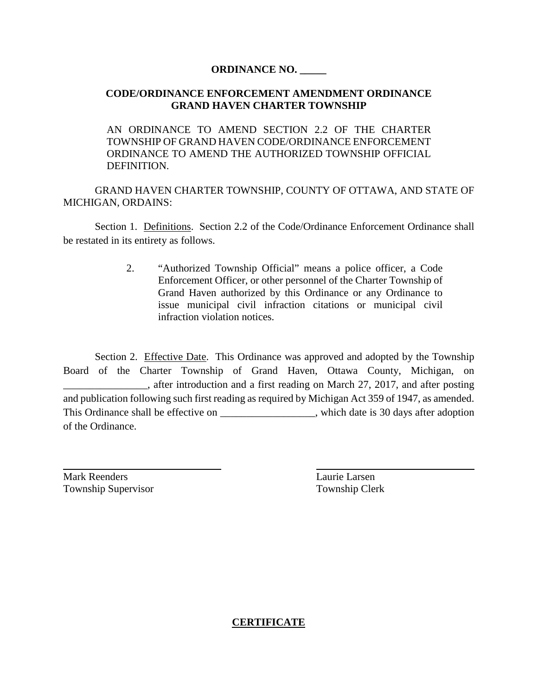## **ORDINANCE NO. \_\_\_\_\_**

## **CODE/ORDINANCE ENFORCEMENT AMENDMENT ORDINANCE GRAND HAVEN CHARTER TOWNSHIP**

AN ORDINANCE TO AMEND SECTION 2.2 OF THE CHARTER TOWNSHIP OF GRAND HAVEN CODE/ORDINANCE ENFORCEMENT ORDINANCE TO AMEND THE AUTHORIZED TOWNSHIP OFFICIAL DEFINITION.

GRAND HAVEN CHARTER TOWNSHIP, COUNTY OF OTTAWA, AND STATE OF MICHIGAN, ORDAINS:

Section 1. Definitions. Section 2.2 of the Code/Ordinance Enforcement Ordinance shall be restated in its entirety as follows.

> 2. "Authorized Township Official" means a police officer, a Code Enforcement Officer, or other personnel of the Charter Township of Grand Haven authorized by this Ordinance or any Ordinance to issue municipal civil infraction citations or municipal civil infraction violation notices.

Section 2. Effective Date. This Ordinance was approved and adopted by the Township Board of the Charter Township of Grand Haven, Ottawa County, Michigan, on after introduction and a first reading on March 27, 2017, and after posting and publication following such first reading as required by Michigan Act 359 of 1947, as amended. This Ordinance shall be effective on \_\_\_\_\_\_\_\_\_\_\_\_\_\_\_, which date is 30 days after adoption of the Ordinance.

Mark Reenders Laurie Larsen Township Supervisor Township Clerk

**CERTIFICATE**